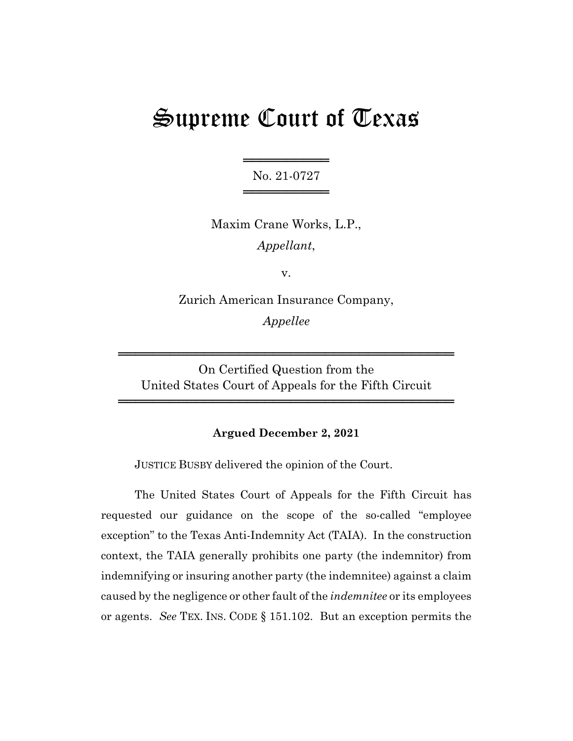# Supreme Court of Texas

══════════════════════ No. 21-0727 ════════════════════

Maxim Crane Works, L.P., *Appellant*,

v.

Zurich American Insurance Company, *Appellee*

On Certified Question from the United States Court of Appeals for the Fifth Circuit

═══════════════════════════════════════

═══════════════════════════════════════

## **Argued December 2, 2021**

JUSTICE BUSBY delivered the opinion of the Court.

The United States Court of Appeals for the Fifth Circuit has requested our guidance on the scope of the so-called "employee exception" to the Texas Anti-Indemnity Act (TAIA). In the construction context, the TAIA generally prohibits one party (the indemnitor) from indemnifying or insuring another party (the indemnitee) against a claim caused by the negligence or other fault of the *indemnitee* or its employees or agents. *See* TEX. INS. CODE § 151.102. But an exception permits the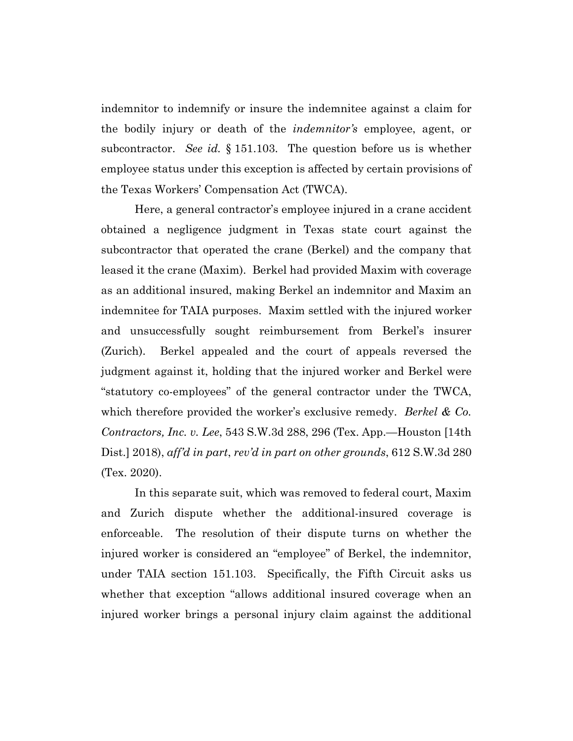indemnitor to indemnify or insure the indemnitee against a claim for the bodily injury or death of the *indemnitor's* employee, agent, or subcontractor. *See id.* § 151.103. The question before us is whether employee status under this exception is affected by certain provisions of the Texas Workers' Compensation Act (TWCA).

Here, a general contractor's employee injured in a crane accident obtained a negligence judgment in Texas state court against the subcontractor that operated the crane (Berkel) and the company that leased it the crane (Maxim). Berkel had provided Maxim with coverage as an additional insured, making Berkel an indemnitor and Maxim an indemnitee for TAIA purposes. Maxim settled with the injured worker and unsuccessfully sought reimbursement from Berkel's insurer (Zurich). Berkel appealed and the court of appeals reversed the judgment against it, holding that the injured worker and Berkel were "statutory co-employees" of the general contractor under the TWCA, which therefore provided the worker's exclusive remedy. *Berkel & Co. Contractors, Inc. v. Lee*, 543 S.W.3d 288, 296 (Tex. App.—Houston [14th Dist.] 2018), *aff'd in part*, *rev'd in part on other grounds*, 612 S.W.3d 280 (Tex. 2020).

In this separate suit, which was removed to federal court, Maxim and Zurich dispute whether the additional-insured coverage is enforceable. The resolution of their dispute turns on whether the injured worker is considered an "employee" of Berkel, the indemnitor, under TAIA section 151.103. Specifically, the Fifth Circuit asks us whether that exception "allows additional insured coverage when an injured worker brings a personal injury claim against the additional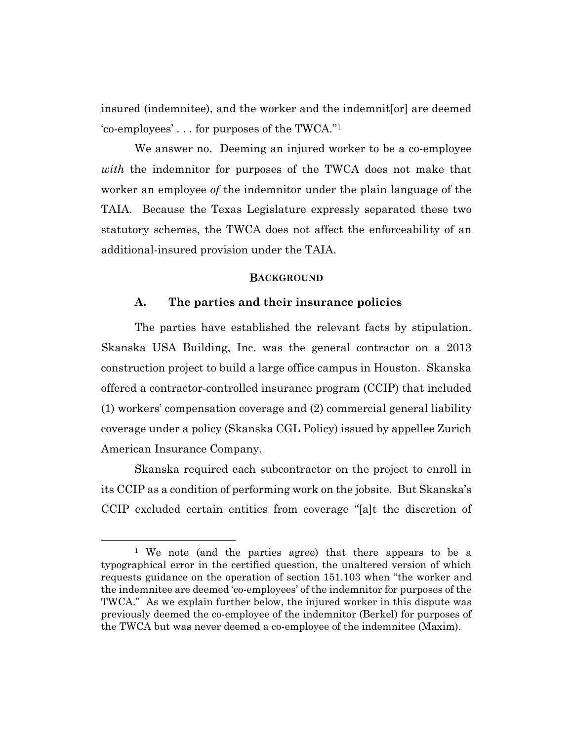insured (indemnitee), and the worker and the indemnit[or] are deemed 'co-employees' . . . for purposes of the TWCA."1

We answer no. Deeming an injured worker to be a co-employee *with* the indemnitor for purposes of the TWCA does not make that worker an employee *of* the indemnitor under the plain language of the TAIA. Because the Texas Legislature expressly separated these two statutory schemes, the TWCA does not affect the enforceability of an additional-insured provision under the TAIA.

#### **BACKGROUND**

#### **A. The parties and their insurance policies**

The parties have established the relevant facts by stipulation. Skanska USA Building, Inc. was the general contractor on a 2013 construction project to build a large office campus in Houston. Skanska offered a contractor-controlled insurance program (CCIP) that included (1) workers' compensation coverage and (2) commercial general liability coverage under a policy (Skanska CGL Policy) issued by appellee Zurich American Insurance Company.

Skanska required each subcontractor on the project to enroll in its CCIP as a condition of performing work on the jobsite. But Skanska's CCIP excluded certain entities from coverage "[a]t the discretion of

<sup>1</sup> We note (and the parties agree) that there appears to be a typographical error in the certified question, the unaltered version of which requests guidance on the operation of section 151.103 when "the worker and the indemnitee are deemed 'co-employees' of the indemnitor for purposes of the TWCA." As we explain further below, the injured worker in this dispute was previously deemed the co-employee of the indemnitor (Berkel) for purposes of the TWCA but was never deemed a co-employee of the indemnitee (Maxim).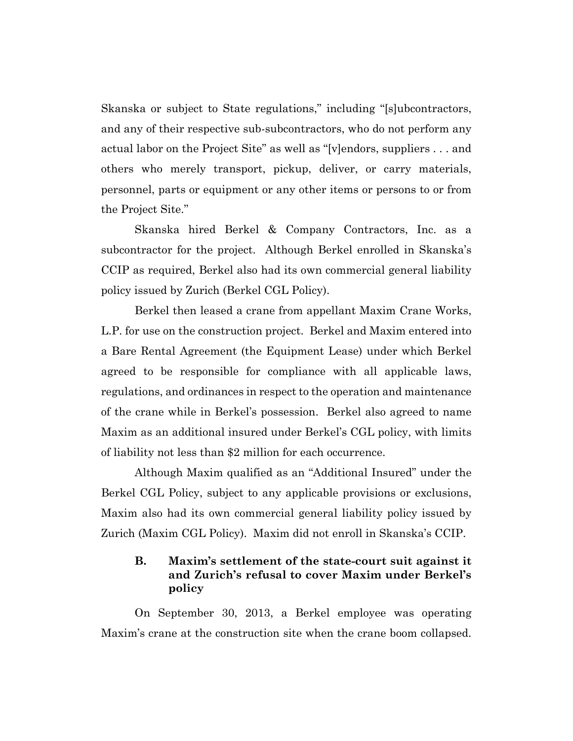Skanska or subject to State regulations," including "[s]ubcontractors, and any of their respective sub-subcontractors, who do not perform any actual labor on the Project Site" as well as "[v]endors, suppliers . . . and others who merely transport, pickup, deliver, or carry materials, personnel, parts or equipment or any other items or persons to or from the Project Site."

Skanska hired Berkel & Company Contractors, Inc. as a subcontractor for the project. Although Berkel enrolled in Skanska's CCIP as required, Berkel also had its own commercial general liability policy issued by Zurich (Berkel CGL Policy).

Berkel then leased a crane from appellant Maxim Crane Works, L.P. for use on the construction project. Berkel and Maxim entered into a Bare Rental Agreement (the Equipment Lease) under which Berkel agreed to be responsible for compliance with all applicable laws, regulations, and ordinances in respect to the operation and maintenance of the crane while in Berkel's possession. Berkel also agreed to name Maxim as an additional insured under Berkel's CGL policy, with limits of liability not less than \$2 million for each occurrence.

Although Maxim qualified as an "Additional Insured" under the Berkel CGL Policy, subject to any applicable provisions or exclusions, Maxim also had its own commercial general liability policy issued by Zurich (Maxim CGL Policy). Maxim did not enroll in Skanska's CCIP.

# **B. Maxim's settlement of the state-court suit against it and Zurich's refusal to cover Maxim under Berkel's policy**

On September 30, 2013, a Berkel employee was operating Maxim's crane at the construction site when the crane boom collapsed.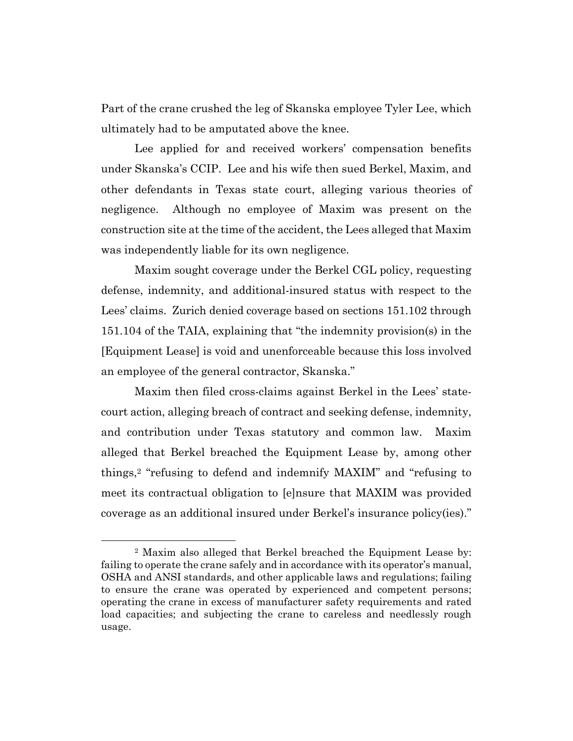Part of the crane crushed the leg of Skanska employee Tyler Lee, which ultimately had to be amputated above the knee.

Lee applied for and received workers' compensation benefits under Skanska's CCIP. Lee and his wife then sued Berkel, Maxim, and other defendants in Texas state court, alleging various theories of negligence. Although no employee of Maxim was present on the construction site at the time of the accident, the Lees alleged that Maxim was independently liable for its own negligence.

Maxim sought coverage under the Berkel CGL policy, requesting defense, indemnity, and additional-insured status with respect to the Lees' claims. Zurich denied coverage based on sections 151.102 through 151.104 of the TAIA, explaining that "the indemnity provision(s) in the [Equipment Lease] is void and unenforceable because this loss involved an employee of the general contractor, Skanska."

Maxim then filed cross-claims against Berkel in the Lees' statecourt action, alleging breach of contract and seeking defense, indemnity, and contribution under Texas statutory and common law. Maxim alleged that Berkel breached the Equipment Lease by, among other things,2 "refusing to defend and indemnify MAXIM" and "refusing to meet its contractual obligation to [e]nsure that MAXIM was provided coverage as an additional insured under Berkel's insurance policy(ies)."

<sup>2</sup> Maxim also alleged that Berkel breached the Equipment Lease by: failing to operate the crane safely and in accordance with its operator's manual, OSHA and ANSI standards, and other applicable laws and regulations; failing to ensure the crane was operated by experienced and competent persons; operating the crane in excess of manufacturer safety requirements and rated load capacities; and subjecting the crane to careless and needlessly rough usage.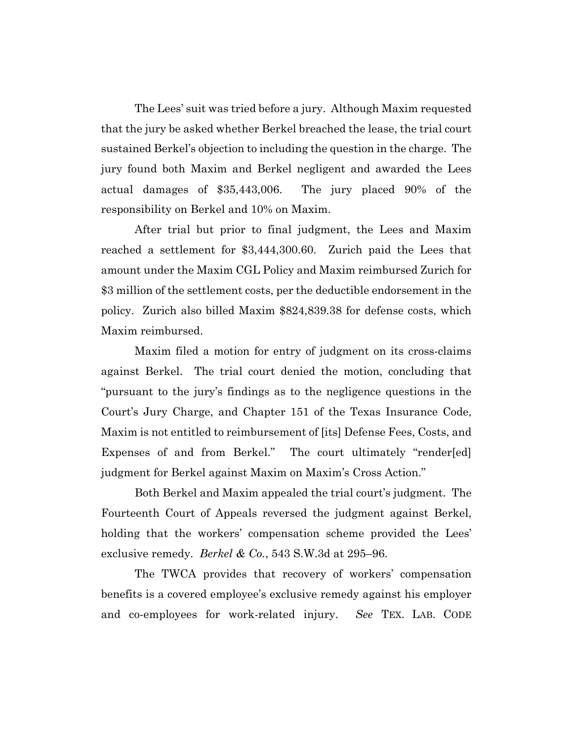The Lees' suit was tried before a jury. Although Maxim requested that the jury be asked whether Berkel breached the lease, the trial court sustained Berkel's objection to including the question in the charge. The jury found both Maxim and Berkel negligent and awarded the Lees actual damages of \$35,443,006. The jury placed 90% of the responsibility on Berkel and 10% on Maxim.

After trial but prior to final judgment, the Lees and Maxim reached a settlement for \$3,444,300.60. Zurich paid the Lees that amount under the Maxim CGL Policy and Maxim reimbursed Zurich for \$3 million of the settlement costs, per the deductible endorsement in the policy. Zurich also billed Maxim \$824,839.38 for defense costs, which Maxim reimbursed.

Maxim filed a motion for entry of judgment on its cross-claims against Berkel. The trial court denied the motion, concluding that "pursuant to the jury's findings as to the negligence questions in the Court's Jury Charge, and Chapter 151 of the Texas Insurance Code, Maxim is not entitled to reimbursement of [its] Defense Fees, Costs, and Expenses of and from Berkel." The court ultimately "render[ed] judgment for Berkel against Maxim on Maxim's Cross Action."

Both Berkel and Maxim appealed the trial court's judgment. The Fourteenth Court of Appeals reversed the judgment against Berkel, holding that the workers' compensation scheme provided the Lees' exclusive remedy. *Berkel & Co.*, 543 S.W.3d at 295–96.

The TWCA provides that recovery of workers' compensation benefits is a covered employee's exclusive remedy against his employer and co-employees for work-related injury. *See* TEX. LAB. CODE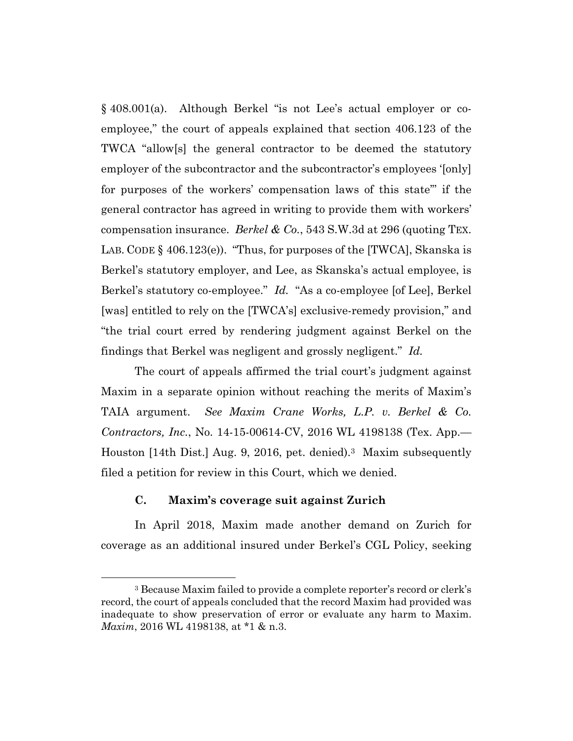§ 408.001(a). Although Berkel "is not Lee's actual employer or coemployee," the court of appeals explained that section 406.123 of the TWCA "allow[s] the general contractor to be deemed the statutory employer of the subcontractor and the subcontractor's employees '[only] for purposes of the workers' compensation laws of this state'" if the general contractor has agreed in writing to provide them with workers' compensation insurance. *Berkel & Co.*, 543 S.W.3d at 296 (quoting TEX. LAB. CODE § 406.123(e)). "Thus, for purposes of the [TWCA], Skanska is Berkel's statutory employer, and Lee, as Skanska's actual employee, is Berkel's statutory co-employee." *Id.* "As a co-employee [of Lee], Berkel [was] entitled to rely on the [TWCA's] exclusive-remedy provision," and "the trial court erred by rendering judgment against Berkel on the findings that Berkel was negligent and grossly negligent." *Id.*

The court of appeals affirmed the trial court's judgment against Maxim in a separate opinion without reaching the merits of Maxim's TAIA argument. *See Maxim Crane Works, L.P. v. Berkel & Co. Contractors, Inc.*, No. 14-15-00614-CV, 2016 WL 4198138 (Tex. App.— Houston [14th Dist.] Aug. 9, 2016, pet. denied).3 Maxim subsequently filed a petition for review in this Court, which we denied.

## **C. Maxim's coverage suit against Zurich**

In April 2018, Maxim made another demand on Zurich for coverage as an additional insured under Berkel's CGL Policy, seeking

<sup>3</sup> Because Maxim failed to provide a complete reporter's record or clerk's record, the court of appeals concluded that the record Maxim had provided was inadequate to show preservation of error or evaluate any harm to Maxim. *Maxim*, 2016 WL 4198138, at \*1 & n.3.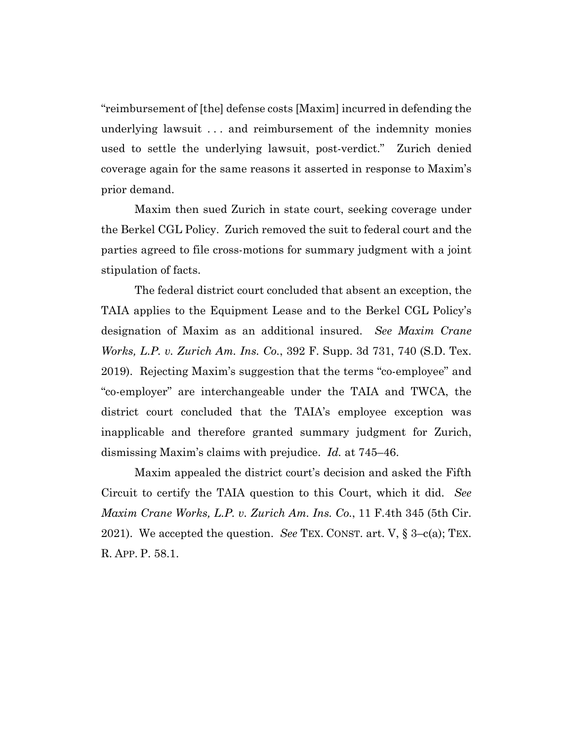"reimbursement of [the] defense costs [Maxim] incurred in defending the underlying lawsuit . . . and reimbursement of the indemnity monies used to settle the underlying lawsuit, post-verdict." Zurich denied coverage again for the same reasons it asserted in response to Maxim's prior demand.

Maxim then sued Zurich in state court, seeking coverage under the Berkel CGL Policy. Zurich removed the suit to federal court and the parties agreed to file cross-motions for summary judgment with a joint stipulation of facts.

The federal district court concluded that absent an exception, the TAIA applies to the Equipment Lease and to the Berkel CGL Policy's designation of Maxim as an additional insured. *See Maxim Crane Works, L.P. v. Zurich Am. Ins. Co.*, 392 F. Supp. 3d 731, 740 (S.D. Tex. 2019). Rejecting Maxim's suggestion that the terms "co-employee" and "co-employer" are interchangeable under the TAIA and TWCA, the district court concluded that the TAIA's employee exception was inapplicable and therefore granted summary judgment for Zurich, dismissing Maxim's claims with prejudice. *Id.* at 745–46.

Maxim appealed the district court's decision and asked the Fifth Circuit to certify the TAIA question to this Court, which it did. *See Maxim Crane Works, L.P. v. Zurich Am. Ins. Co.*, 11 F.4th 345 (5th Cir. 2021). We accepted the question. *See* TEX. CONST. art. V, § 3–c(a); TEX. R. APP. P. 58.1.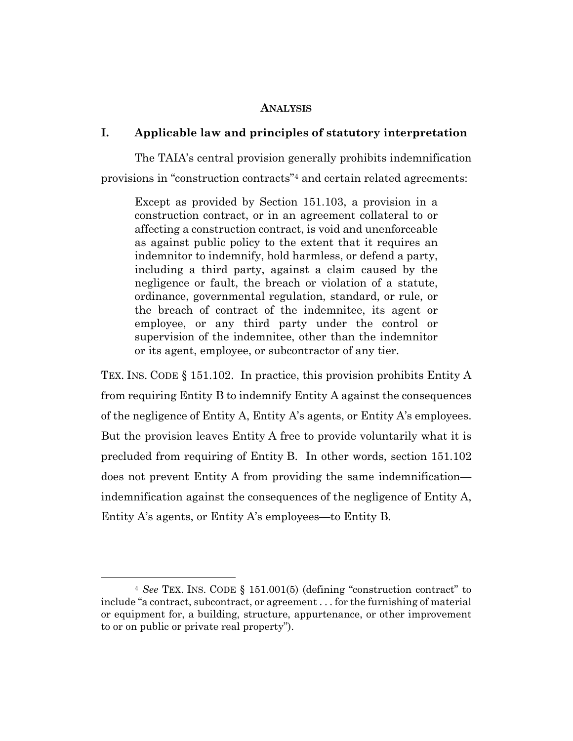### **ANALYSIS**

## **I. Applicable law and principles of statutory interpretation**

The TAIA's central provision generally prohibits indemnification provisions in "construction contracts"4 and certain related agreements:

Except as provided by Section 151.103, a provision in a construction contract, or in an agreement collateral to or affecting a construction contract, is void and unenforceable as against public policy to the extent that it requires an indemnitor to indemnify, hold harmless, or defend a party, including a third party, against a claim caused by the negligence or fault, the breach or violation of a statute, ordinance, governmental regulation, standard, or rule, or the breach of contract of the indemnitee, its agent or employee, or any third party under the control or supervision of the indemnitee, other than the indemnitor or its agent, employee, or subcontractor of any tier.

TEX. INS. CODE § 151.102. In practice, this provision prohibits Entity A from requiring Entity B to indemnify Entity A against the consequences of the negligence of Entity A, Entity A's agents, or Entity A's employees. But the provision leaves Entity A free to provide voluntarily what it is precluded from requiring of Entity B. In other words, section 151.102 does not prevent Entity A from providing the same indemnification indemnification against the consequences of the negligence of Entity A, Entity A's agents, or Entity A's employees—to Entity B.

<sup>4</sup> *See* TEX. INS. CODE § 151.001(5) (defining "construction contract" to include "a contract, subcontract, or agreement . . . for the furnishing of material or equipment for, a building, structure, appurtenance, or other improvement to or on public or private real property").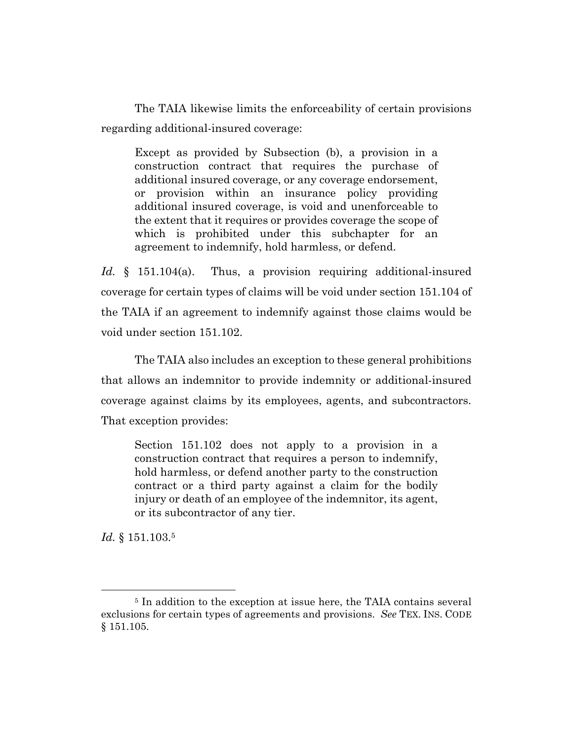The TAIA likewise limits the enforceability of certain provisions regarding additional-insured coverage:

Except as provided by Subsection (b), a provision in a construction contract that requires the purchase of additional insured coverage, or any coverage endorsement, or provision within an insurance policy providing additional insured coverage, is void and unenforceable to the extent that it requires or provides coverage the scope of which is prohibited under this subchapter for an agreement to indemnify, hold harmless, or defend.

*Id.* § 151.104(a). Thus, a provision requiring additional-insured coverage for certain types of claims will be void under section 151.104 of the TAIA if an agreement to indemnify against those claims would be void under section 151.102.

The TAIA also includes an exception to these general prohibitions that allows an indemnitor to provide indemnity or additional-insured coverage against claims by its employees, agents, and subcontractors. That exception provides:

Section 151.102 does not apply to a provision in a construction contract that requires a person to indemnify, hold harmless, or defend another party to the construction contract or a third party against a claim for the bodily injury or death of an employee of the indemnitor, its agent, or its subcontractor of any tier.

*Id.* § 151.103.5

<sup>5</sup> In addition to the exception at issue here, the TAIA contains several exclusions for certain types of agreements and provisions. *See* TEX. INS. CODE § 151.105.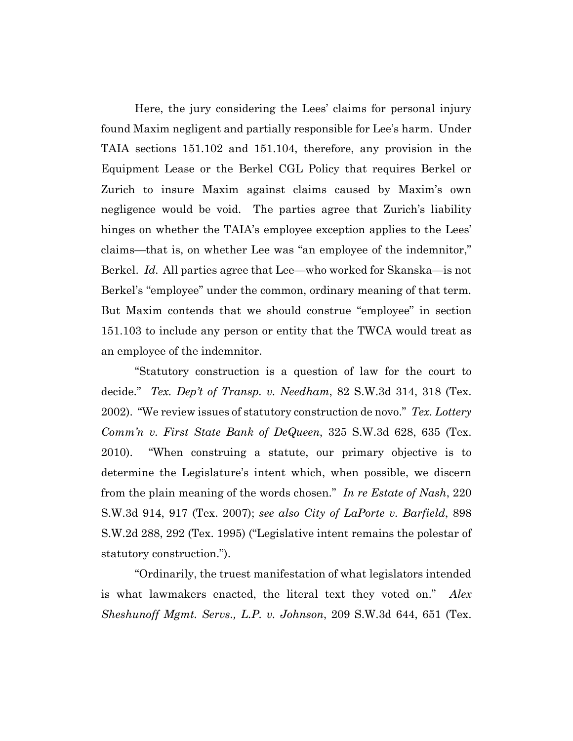Here, the jury considering the Lees' claims for personal injury found Maxim negligent and partially responsible for Lee's harm. Under TAIA sections 151.102 and 151.104, therefore, any provision in the Equipment Lease or the Berkel CGL Policy that requires Berkel or Zurich to insure Maxim against claims caused by Maxim's own negligence would be void. The parties agree that Zurich's liability hinges on whether the TAIA's employee exception applies to the Lees' claims—that is, on whether Lee was "an employee of the indemnitor," Berkel. *Id.* All parties agree that Lee—who worked for Skanska—is not Berkel's "employee" under the common, ordinary meaning of that term. But Maxim contends that we should construe "employee" in section 151.103 to include any person or entity that the TWCA would treat as an employee of the indemnitor.

"Statutory construction is a question of law for the court to decide." *Tex. Dep't of Transp. v. Needham*, 82 S.W.3d 314, 318 (Tex. 2002). "We review issues of statutory construction de novo." *Tex. Lottery Comm'n v. First State Bank of DeQueen*, 325 S.W.3d 628, 635 (Tex. 2010). "When construing a statute, our primary objective is to determine the Legislature's intent which, when possible, we discern from the plain meaning of the words chosen." *In re Estate of Nash*, 220 S.W.3d 914, 917 (Tex. 2007); *see also City of LaPorte v. Barfield*, 898 S.W.2d 288, 292 (Tex. 1995) ("Legislative intent remains the polestar of statutory construction.").

"Ordinarily, the truest manifestation of what legislators intended is what lawmakers enacted, the literal text they voted on." *Alex Sheshunoff Mgmt. Servs., L.P. v. Johnson*, 209 S.W.3d 644, 651 (Tex.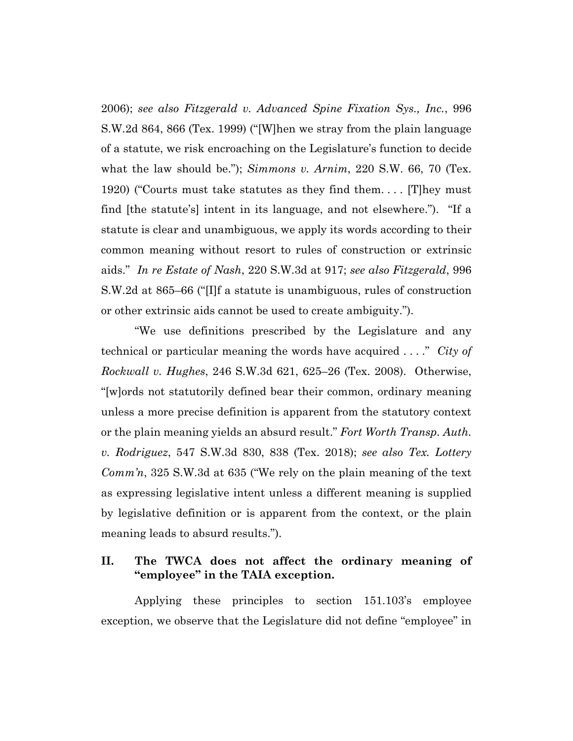2006); *see also Fitzgerald v. Advanced Spine Fixation Sys., Inc.*, 996 S.W.2d 864, 866 (Tex. 1999) ("[W]hen we stray from the plain language of a statute, we risk encroaching on the Legislature's function to decide what the law should be."); *Simmons v. Arnim*, 220 S.W. 66, 70 (Tex. 1920) ("Courts must take statutes as they find them. . . . [T]hey must find [the statute's] intent in its language, and not elsewhere."). "If a statute is clear and unambiguous, we apply its words according to their common meaning without resort to rules of construction or extrinsic aids." *In re Estate of Nash*, 220 S.W.3d at 917; *see also Fitzgerald*, 996 S.W.2d at 865–66 ("[I]f a statute is unambiguous, rules of construction or other extrinsic aids cannot be used to create ambiguity.").

"We use definitions prescribed by the Legislature and any technical or particular meaning the words have acquired . . . ." *City of Rockwall v. Hughes*, 246 S.W.3d 621, 625–26 (Tex. 2008). Otherwise, "[w]ords not statutorily defined bear their common, ordinary meaning unless a more precise definition is apparent from the statutory context or the plain meaning yields an absurd result." *Fort Worth Transp. Auth. v. Rodriguez*, 547 S.W.3d 830, 838 (Tex. 2018); *see also Tex. Lottery Comm'n*, 325 S.W.3d at 635 ("We rely on the plain meaning of the text as expressing legislative intent unless a different meaning is supplied by legislative definition or is apparent from the context, or the plain meaning leads to absurd results.").

# **II. The TWCA does not affect the ordinary meaning of "employee" in the TAIA exception.**

Applying these principles to section 151.103's employee exception, we observe that the Legislature did not define "employee" in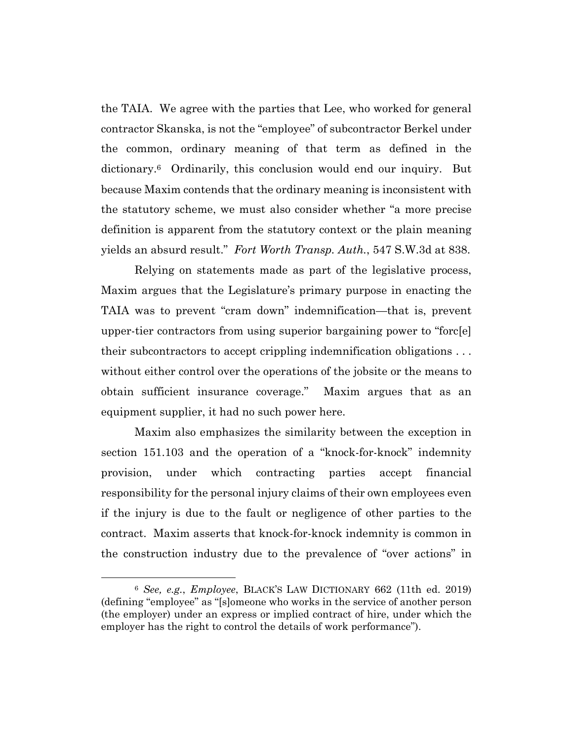the TAIA. We agree with the parties that Lee, who worked for general contractor Skanska, is not the "employee" of subcontractor Berkel under the common, ordinary meaning of that term as defined in the dictionary.6 Ordinarily, this conclusion would end our inquiry. But because Maxim contends that the ordinary meaning is inconsistent with the statutory scheme, we must also consider whether "a more precise definition is apparent from the statutory context or the plain meaning yields an absurd result." *Fort Worth Transp. Auth.*, 547 S.W.3d at 838.

Relying on statements made as part of the legislative process, Maxim argues that the Legislature's primary purpose in enacting the TAIA was to prevent "cram down" indemnification—that is, prevent upper-tier contractors from using superior bargaining power to "forc[e] their subcontractors to accept crippling indemnification obligations . . . without either control over the operations of the jobsite or the means to obtain sufficient insurance coverage." Maxim argues that as an equipment supplier, it had no such power here.

Maxim also emphasizes the similarity between the exception in section 151.103 and the operation of a "knock-for-knock" indemnity provision, under which contracting parties accept financial responsibility for the personal injury claims of their own employees even if the injury is due to the fault or negligence of other parties to the contract. Maxim asserts that knock-for-knock indemnity is common in the construction industry due to the prevalence of "over actions" in

<sup>6</sup> *See, e.g.*, *Employee*, BLACK'S LAW DICTIONARY 662 (11th ed. 2019) (defining "employee" as "[s]omeone who works in the service of another person (the employer) under an express or implied contract of hire, under which the employer has the right to control the details of work performance").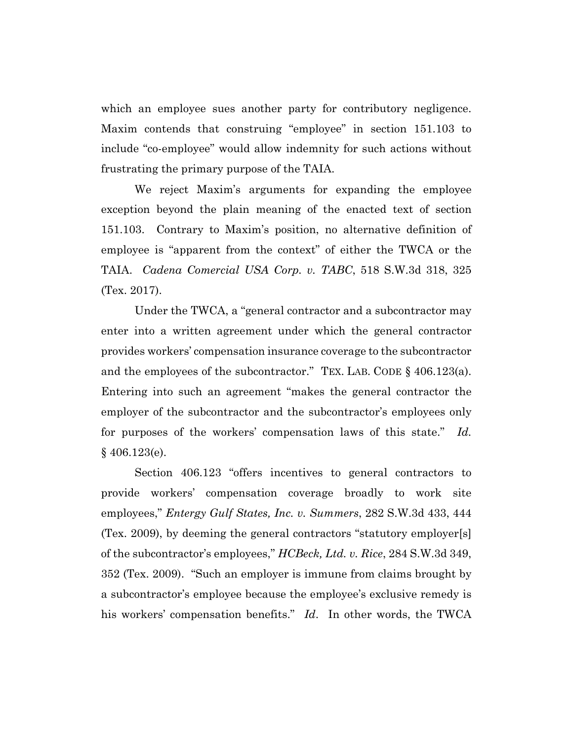which an employee sues another party for contributory negligence. Maxim contends that construing "employee" in section 151.103 to include "co-employee" would allow indemnity for such actions without frustrating the primary purpose of the TAIA.

We reject Maxim's arguments for expanding the employee exception beyond the plain meaning of the enacted text of section 151.103. Contrary to Maxim's position, no alternative definition of employee is "apparent from the context" of either the TWCA or the TAIA. *Cadena Comercial USA Corp. v. TABC*, 518 S.W.3d 318, 325 (Tex. 2017).

Under the TWCA, a "general contractor and a subcontractor may enter into a written agreement under which the general contractor provides workers' compensation insurance coverage to the subcontractor and the employees of the subcontractor." TEX. LAB. CODE § 406.123(a). Entering into such an agreement "makes the general contractor the employer of the subcontractor and the subcontractor's employees only for purposes of the workers' compensation laws of this state." *Id.* § 406.123(e).

Section 406.123 "offers incentives to general contractors to provide workers' compensation coverage broadly to work site employees," *Entergy Gulf States, Inc. v. Summers*, 282 S.W.3d 433, 444 (Tex. 2009), by deeming the general contractors "statutory employer[s] of the subcontractor's employees," *HCBeck, Ltd. v. Rice*, 284 S.W.3d 349, 352 (Tex. 2009). "Such an employer is immune from claims brought by a subcontractor's employee because the employee's exclusive remedy is his workers' compensation benefits." *Id*. In other words, the TWCA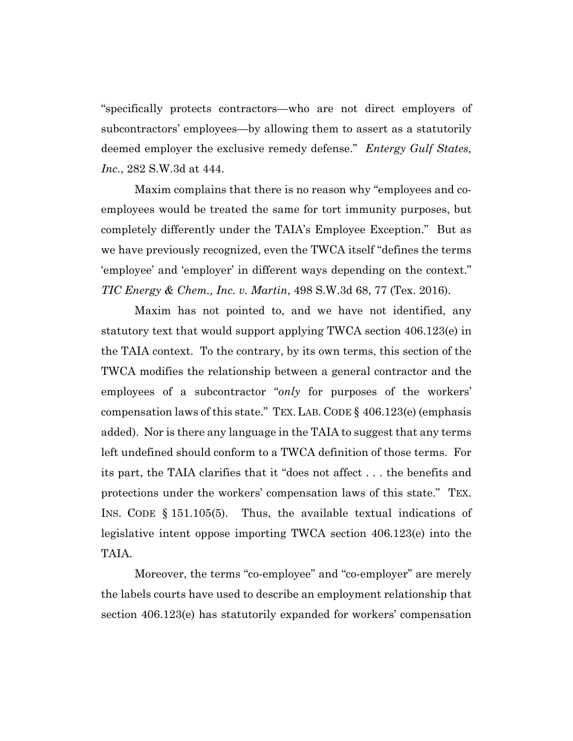"specifically protects contractors—who are not direct employers of subcontractors' employees—by allowing them to assert as a statutorily deemed employer the exclusive remedy defense." *Entergy Gulf States, Inc.*, 282 S.W.3d at 444.

Maxim complains that there is no reason why "employees and coemployees would be treated the same for tort immunity purposes, but completely differently under the TAIA's Employee Exception." But as we have previously recognized, even the TWCA itself "defines the terms 'employee' and 'employer' in different ways depending on the context." *TIC Energy & Chem., Inc. v. Martin*, 498 S.W.3d 68, 77 (Tex. 2016).

Maxim has not pointed to, and we have not identified, any statutory text that would support applying TWCA section 406.123(e) in the TAIA context. To the contrary, by its own terms, this section of the TWCA modifies the relationship between a general contractor and the employees of a subcontractor "*only* for purposes of the workers' compensation laws of this state." TEX. LAB. CODE § 406.123(e) (emphasis added). Nor is there any language in the TAIA to suggest that any terms left undefined should conform to a TWCA definition of those terms. For its part, the TAIA clarifies that it "does not affect . . . the benefits and protections under the workers' compensation laws of this state." TEX. INS. CODE § 151.105(5). Thus, the available textual indications of legislative intent oppose importing TWCA section 406.123(e) into the TAIA.

Moreover, the terms "co-employee" and "co-employer" are merely the labels courts have used to describe an employment relationship that section 406.123(e) has statutorily expanded for workers' compensation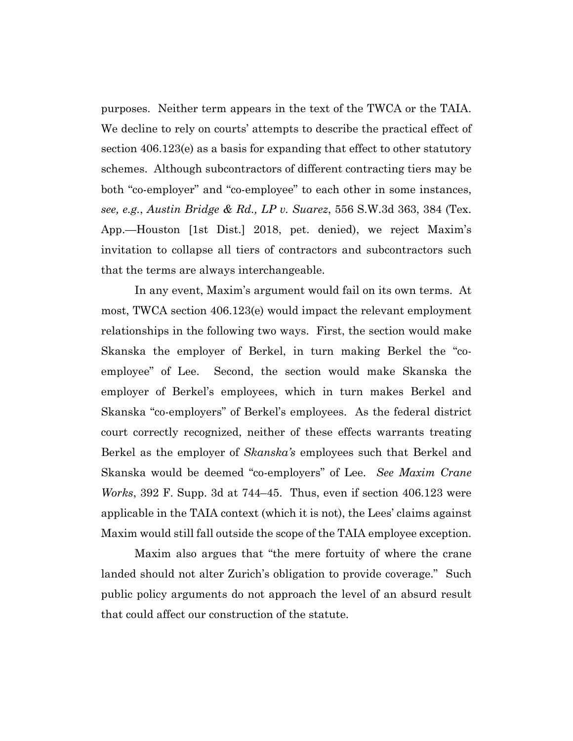purposes. Neither term appears in the text of the TWCA or the TAIA. We decline to rely on courts' attempts to describe the practical effect of section 406.123(e) as a basis for expanding that effect to other statutory schemes. Although subcontractors of different contracting tiers may be both "co-employer" and "co-employee" to each other in some instances, *see, e.g.*, *Austin Bridge & Rd., LP v. Suarez*, 556 S.W.3d 363, 384 (Tex. App.—Houston [1st Dist.] 2018, pet. denied), we reject Maxim's invitation to collapse all tiers of contractors and subcontractors such that the terms are always interchangeable.

In any event, Maxim's argument would fail on its own terms. At most, TWCA section 406.123(e) would impact the relevant employment relationships in the following two ways. First, the section would make Skanska the employer of Berkel, in turn making Berkel the "coemployee" of Lee. Second, the section would make Skanska the employer of Berkel's employees, which in turn makes Berkel and Skanska "co-employers" of Berkel's employees. As the federal district court correctly recognized, neither of these effects warrants treating Berkel as the employer of *Skanska's* employees such that Berkel and Skanska would be deemed "co-employers" of Lee. *See Maxim Crane Works*, 392 F. Supp. 3d at 744–45. Thus, even if section 406.123 were applicable in the TAIA context (which it is not), the Lees' claims against Maxim would still fall outside the scope of the TAIA employee exception.

Maxim also argues that "the mere fortuity of where the crane landed should not alter Zurich's obligation to provide coverage." Such public policy arguments do not approach the level of an absurd result that could affect our construction of the statute.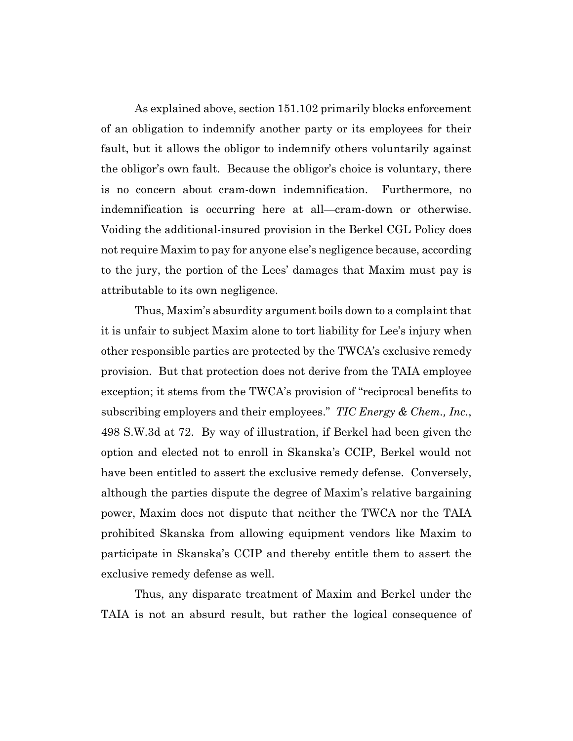As explained above, section 151.102 primarily blocks enforcement of an obligation to indemnify another party or its employees for their fault, but it allows the obligor to indemnify others voluntarily against the obligor's own fault. Because the obligor's choice is voluntary, there is no concern about cram-down indemnification. Furthermore, no indemnification is occurring here at all—cram-down or otherwise. Voiding the additional-insured provision in the Berkel CGL Policy does not require Maxim to pay for anyone else's negligence because, according to the jury, the portion of the Lees' damages that Maxim must pay is attributable to its own negligence.

Thus, Maxim's absurdity argument boils down to a complaint that it is unfair to subject Maxim alone to tort liability for Lee's injury when other responsible parties are protected by the TWCA's exclusive remedy provision. But that protection does not derive from the TAIA employee exception; it stems from the TWCA's provision of "reciprocal benefits to subscribing employers and their employees." *TIC Energy & Chem., Inc.*, 498 S.W.3d at 72. By way of illustration, if Berkel had been given the option and elected not to enroll in Skanska's CCIP, Berkel would not have been entitled to assert the exclusive remedy defense. Conversely, although the parties dispute the degree of Maxim's relative bargaining power, Maxim does not dispute that neither the TWCA nor the TAIA prohibited Skanska from allowing equipment vendors like Maxim to participate in Skanska's CCIP and thereby entitle them to assert the exclusive remedy defense as well.

Thus, any disparate treatment of Maxim and Berkel under the TAIA is not an absurd result, but rather the logical consequence of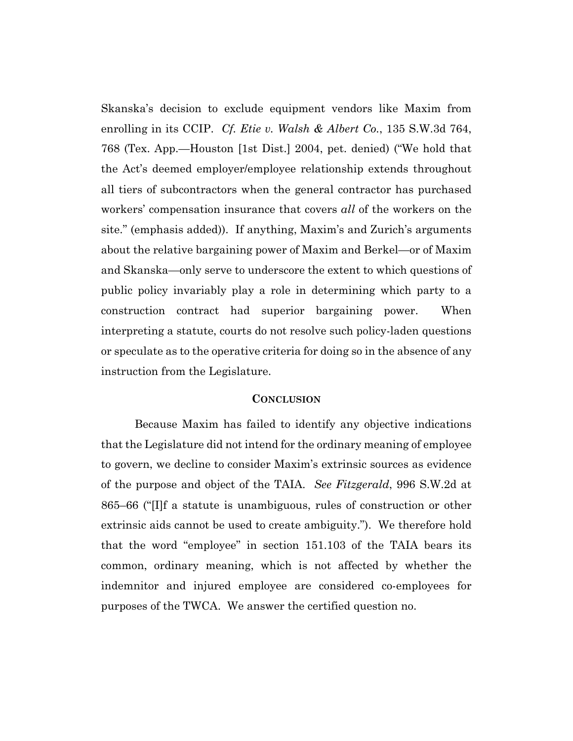Skanska's decision to exclude equipment vendors like Maxim from enrolling in its CCIP. *Cf. Etie v. Walsh & Albert Co.*, 135 S.W.3d 764, 768 (Tex. App.—Houston [1st Dist.] 2004, pet. denied) ("We hold that the Act's deemed employer/employee relationship extends throughout all tiers of subcontractors when the general contractor has purchased workers' compensation insurance that covers *all* of the workers on the site." (emphasis added)). If anything, Maxim's and Zurich's arguments about the relative bargaining power of Maxim and Berkel—or of Maxim and Skanska—only serve to underscore the extent to which questions of public policy invariably play a role in determining which party to a construction contract had superior bargaining power. When interpreting a statute, courts do not resolve such policy-laden questions or speculate as to the operative criteria for doing so in the absence of any instruction from the Legislature.

#### **CONCLUSION**

Because Maxim has failed to identify any objective indications that the Legislature did not intend for the ordinary meaning of employee to govern, we decline to consider Maxim's extrinsic sources as evidence of the purpose and object of the TAIA. *See Fitzgerald*, 996 S.W.2d at 865–66 ("[I]f a statute is unambiguous, rules of construction or other extrinsic aids cannot be used to create ambiguity.").We therefore hold that the word "employee" in section 151.103 of the TAIA bears its common, ordinary meaning, which is not affected by whether the indemnitor and injured employee are considered co-employees for purposes of the TWCA. We answer the certified question no.